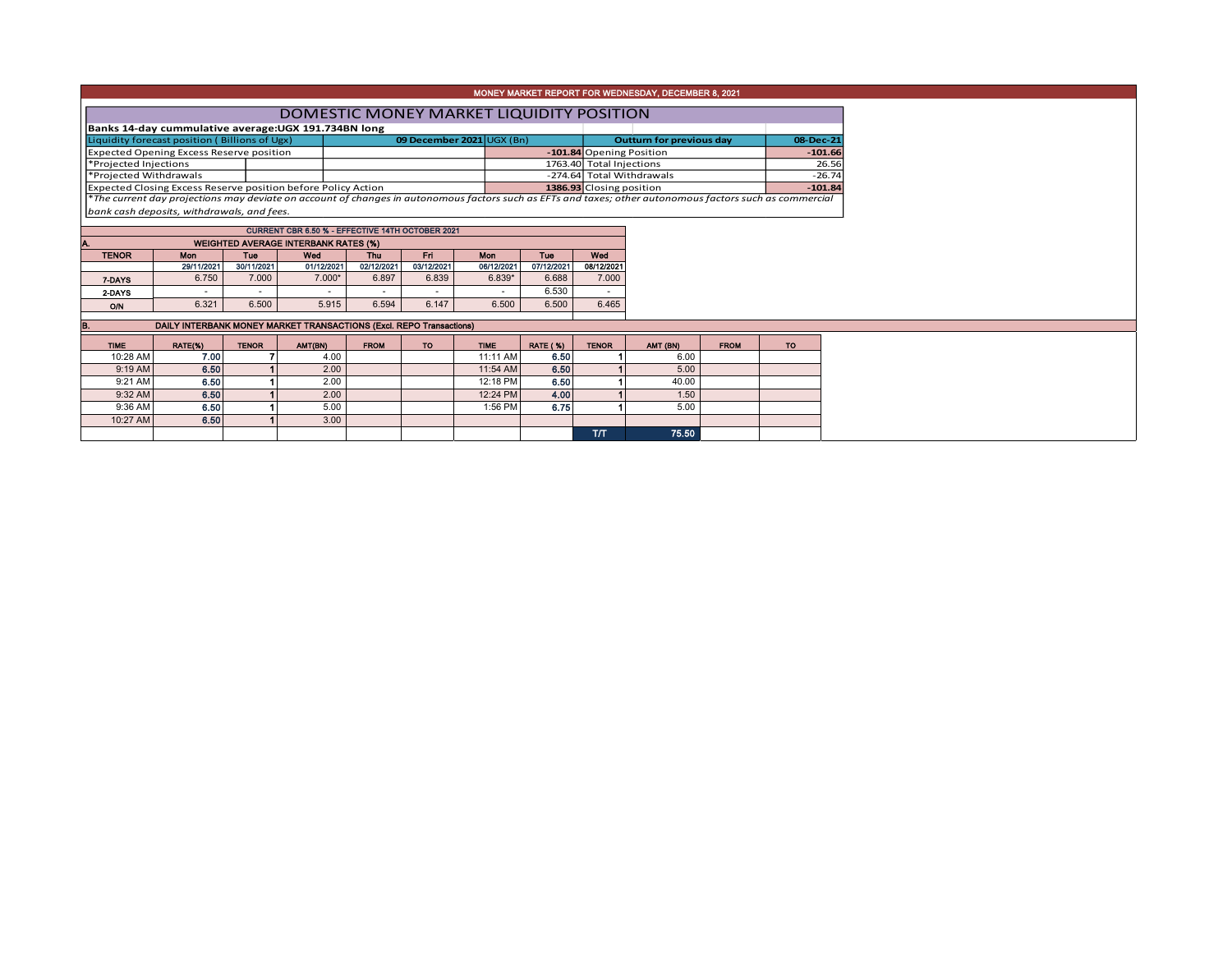| DOMESTIC MONEY MARKET LIQUIDITY POSITION                                                                                                                 |  |  |  |  |  |  |  |  |  |  |  |  |  |
|----------------------------------------------------------------------------------------------------------------------------------------------------------|--|--|--|--|--|--|--|--|--|--|--|--|--|
|                                                                                                                                                          |  |  |  |  |  |  |  |  |  |  |  |  |  |
| 08-Dec-21                                                                                                                                                |  |  |  |  |  |  |  |  |  |  |  |  |  |
| $-101.66$                                                                                                                                                |  |  |  |  |  |  |  |  |  |  |  |  |  |
| 26.56                                                                                                                                                    |  |  |  |  |  |  |  |  |  |  |  |  |  |
| $-26.74$                                                                                                                                                 |  |  |  |  |  |  |  |  |  |  |  |  |  |
| $-101.84$                                                                                                                                                |  |  |  |  |  |  |  |  |  |  |  |  |  |
| *The current day projections may deviate on account of changes in autonomous factors such as EFTs and taxes; other autonomous factors such as commercial |  |  |  |  |  |  |  |  |  |  |  |  |  |
|                                                                                                                                                          |  |  |  |  |  |  |  |  |  |  |  |  |  |
|                                                                                                                                                          |  |  |  |  |  |  |  |  |  |  |  |  |  |

| <b>CURRENT CBR 6.50 % - EFFECTIVE 14TH OCTOBER 2021</b> |                                             |                          |            |            |            |            |            |            |  |  |  |  |  |  |
|---------------------------------------------------------|---------------------------------------------|--------------------------|------------|------------|------------|------------|------------|------------|--|--|--|--|--|--|
| Α.                                                      | <b>WEIGHTED AVERAGE INTERBANK RATES (%)</b> |                          |            |            |            |            |            |            |  |  |  |  |  |  |
| <b>TENOR</b>                                            | Mon                                         | Tue                      | Wed        | Thu        | En         | Mon        | Tue        | Wed        |  |  |  |  |  |  |
|                                                         | 29/11/2021                                  | 30/11/2021               | 01/12/2021 | 02/12/2021 | 03/12/2021 | 06/12/2021 | 07/12/2021 | 08/12/2021 |  |  |  |  |  |  |
| 7-DAYS                                                  | 6.750                                       | 7.000                    | $7.000*$   | 6.897      | 6.839      | $6.839*$   | 6.688      | 7.000      |  |  |  |  |  |  |
| 2-DAYS                                                  |                                             | $\overline{\phantom{a}}$ |            |            | ۰          |            | 6.530      |            |  |  |  |  |  |  |
| O/N                                                     | 6.321                                       | 6.500                    | 5.915      | 6.594      | 6.147      | 6.500      | 6.500      | 6.465      |  |  |  |  |  |  |
|                                                         |                                             |                          |            |            |            |            |            |            |  |  |  |  |  |  |

| IB.         | DAILY INTERBANK MONEY MARKET TRANSACTIONS (Excl. REPO Transactions) |              |         |             |    |             |                 |              |          |             |           |  |  |  |
|-------------|---------------------------------------------------------------------|--------------|---------|-------------|----|-------------|-----------------|--------------|----------|-------------|-----------|--|--|--|
| <b>TIME</b> | RATE(%)                                                             | <b>TENOR</b> | AMT(BN) | <b>FROM</b> | TO | <b>TIME</b> | <b>RATE (%)</b> | <b>TENOR</b> | AMT (BN) | <b>FROM</b> | <b>TO</b> |  |  |  |
| 10:28 AM    | 7.00                                                                |              | 4.00    |             |    | 11:11 AM    | 6.50            |              | 6.00     |             |           |  |  |  |
| $9:19$ AM   | 6.50                                                                |              | 2.00    |             |    | 11:54 AM    | 6.50            |              | 5.00     |             |           |  |  |  |
| 9:21 AM     | 6.50                                                                |              | 2.00    |             |    | 12:18 PM    | 6.50            |              | 40.00    |             |           |  |  |  |
| 9:32 AM     | 6.50                                                                |              | 2.00    |             |    | 12:24 PM    | 4.00            |              | 1.50     |             |           |  |  |  |
| 9:36 AM     | 6.50                                                                |              | 5.00    |             |    | 1:56 PM     | 6.75            |              | 5.00     |             |           |  |  |  |
| 10:27 AM    | 6.50                                                                |              | 3.00    |             |    |             |                 |              |          |             |           |  |  |  |
|             |                                                                     |              |         |             |    |             |                 | <b>T/T</b>   | 75.50    |             |           |  |  |  |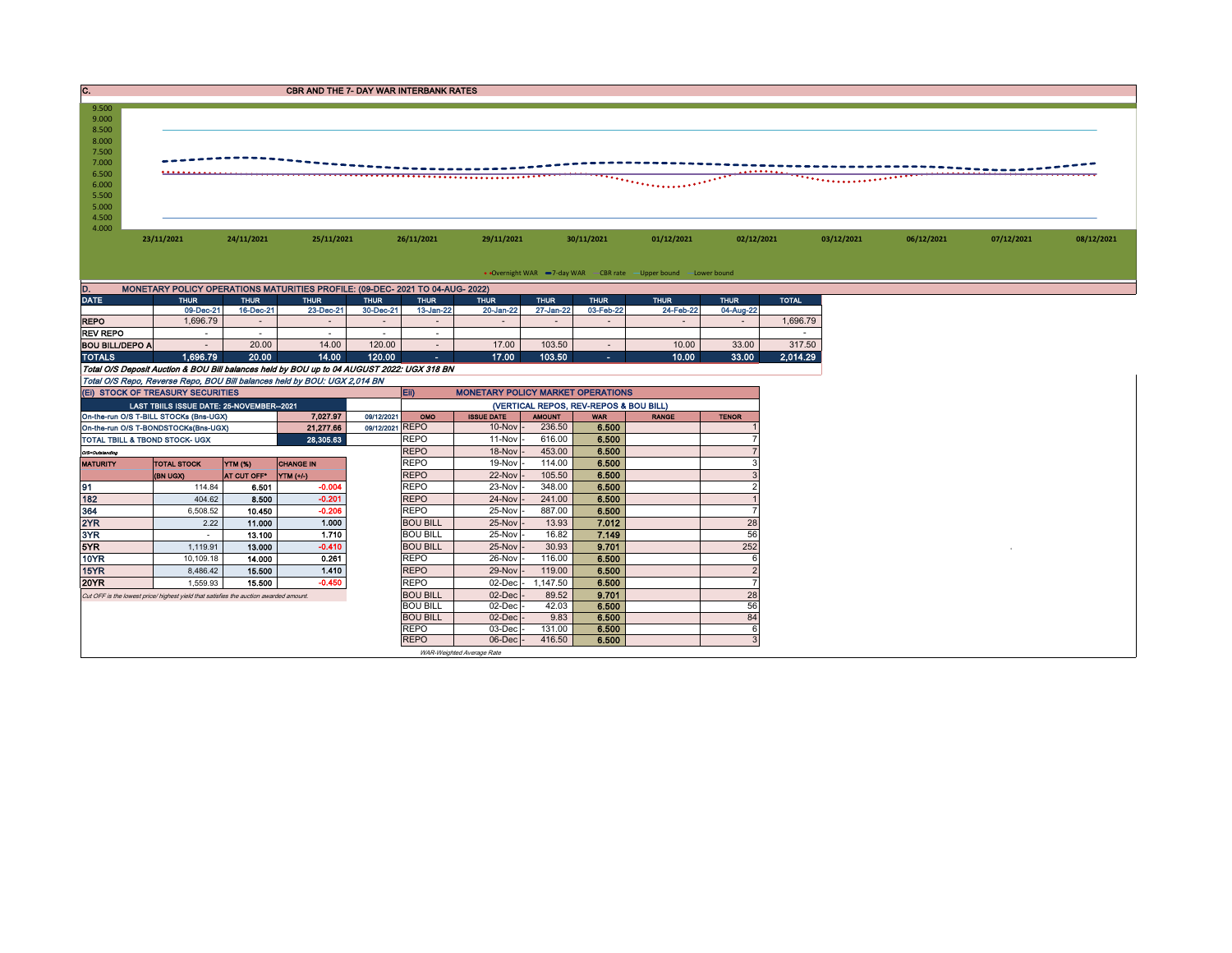| C.                                                                                                       |            |            | <b>CBR AND THE 7- DAY WAR INTERBANK RATES</b>                                 |            |            |                                                                   |            |            |            |            |            |            |
|----------------------------------------------------------------------------------------------------------|------------|------------|-------------------------------------------------------------------------------|------------|------------|-------------------------------------------------------------------|------------|------------|------------|------------|------------|------------|
| 9.500<br>9.000<br>8.500<br>8.000<br>7.500<br>7.000<br>6.500<br>6.000<br>5.500<br>5.000<br>4.500<br>4.000 |            |            |                                                                               |            |            |                                                                   |            |            |            |            |            |            |
|                                                                                                          | 23/11/2021 | 24/11/2021 | 25/11/2021                                                                    | 26/11/2021 | 29/11/2021 | 30/11/2021                                                        | 01/12/2021 | 02/12/2021 | 03/12/2021 | 06/12/2021 | 07/12/2021 | 08/12/2021 |
|                                                                                                          |            |            |                                                                               |            |            | • Overnight WAR -7-day WAR - CBR rate - Upper bound - Lower bound |            |            |            |            |            |            |
| D.                                                                                                       |            |            | MONETARY POLICY OPERATIONS MATURITIES PROFILE: (09-DEC- 2021 TO 04-AUG- 2022) |            |            |                                                                   |            |            |            |            |            |            |

| <b>DATE</b>                                                                                | <b>THUR</b> | <b>THUR</b> | <b>THUR</b> | <b>THUR</b>    | <b>THUR</b> | <b>THUR</b> | <b>THUR</b> | <b>THUR</b> | <b>THUR</b> | <b>THUR</b> | <b>TOTAL</b> |
|--------------------------------------------------------------------------------------------|-------------|-------------|-------------|----------------|-------------|-------------|-------------|-------------|-------------|-------------|--------------|
|                                                                                            | 09-Dec-21   | 16-Dec-21   | 23-Dec-21   | 30-Dec-21      | 13-Jan-22   | 20-Jan-22   | 27-Jan-22   | 03-Feb-22   | 24-Feb-22   | 04-Aug-22   |              |
| <b>REPO</b>                                                                                | .696.79     |             |             | $\blacksquare$ |             | $\sim$      |             |             |             |             | 1.696.79     |
| <b>REV REPO</b>                                                                            |             |             |             |                |             |             |             |             |             |             |              |
| <b>BOU BILL/DEPO A</b>                                                                     |             | 20.00       | 14.00       | 120.00         |             | 17.00       | 103.50      |             | 10.00       | 33.00       | 317.50       |
| <b>TOTALS</b>                                                                              | 1.696.79    | 20.00       | 14.00       | 120.00         | œ.          | 17.00       | 103.50      | л.          | 10.00       | 33.00       | 2.014.29     |
| Total O/S Deposit Auction & BOU Bill balances held by BOU up to 04 AUGUST 2022: UGX 318 BN |             |             |             |                |             |             |             |             |             |             |              |
| Total O/S Repo, Reverse Repo, BOU Bill balances held by BOU: UGX 2,014 BN                  |             |             |             |                |             |             |             |             |             |             |              |

|                 |                                                                                                                                                                                                                                                                                                                                                                                                                                         |                    |                  |                 | Eii)                                   | <b>MONETARY POLICY MARKET OPERATIONS</b> |               |            |              |                |  |
|-----------------|-----------------------------------------------------------------------------------------------------------------------------------------------------------------------------------------------------------------------------------------------------------------------------------------------------------------------------------------------------------------------------------------------------------------------------------------|--------------------|------------------|-----------------|----------------------------------------|------------------------------------------|---------------|------------|--------------|----------------|--|
|                 |                                                                                                                                                                                                                                                                                                                                                                                                                                         |                    |                  |                 | (VERTICAL REPOS, REV-REPOS & BOU BILL) |                                          |               |            |              |                |  |
|                 |                                                                                                                                                                                                                                                                                                                                                                                                                                         |                    | 7.027.97         | 09/12/2021      | OMO                                    | <b>ISSUE DATE</b>                        | <b>AMOUNT</b> | <b>WAR</b> | <b>RANGE</b> | <b>TENOR</b>   |  |
|                 |                                                                                                                                                                                                                                                                                                                                                                                                                                         |                    | 21,277.66        | 09/12/2021 REPO |                                        | $10$ -Nov                                | 236.50        | 6.500      |              |                |  |
|                 | (EI) STOCK OF TREASURY SECURITIES<br>LAST TBIILS ISSUE DATE: 25-NOVEMBER--2021<br>On-the-run O/S T-BILL STOCKs (Bns-UGX)<br>On-the-run O/S T-BONDSTOCKs(Bns-UGX)<br>TOTAL TBILL & TBOND STOCK- UGX<br>YTM (%)<br><b>TOTAL STOCK</b><br><b>(BN UGX)</b><br>114.84<br>404.62<br>6,508.52<br>2.22<br>1.119.91<br>10,109.18<br>8,486.42<br>1,559.93<br>Cut OFF is the lowest price/highest vield that satisfies the auction awarded amount. |                    | 28,305.63        |                 | <b>REPO</b>                            | 11-Nov                                   | 616.00        | 6.500      |              |                |  |
| O/S=Outstanding |                                                                                                                                                                                                                                                                                                                                                                                                                                         |                    |                  |                 | <b>REPO</b>                            | 18-Nov                                   | 453.00        | 6.500      |              |                |  |
| <b>MATURITY</b> |                                                                                                                                                                                                                                                                                                                                                                                                                                         |                    | <b>CHANGE IN</b> |                 | <b>REPO</b>                            | 19-Nov                                   | 114.00        | 6.500      |              |                |  |
|                 |                                                                                                                                                                                                                                                                                                                                                                                                                                         | <b>AT CUT OFF*</b> | YTM (+/-)        |                 | <b>REPO</b>                            | 22-Nov                                   | 105.50        | 6.500      |              |                |  |
| 91              |                                                                                                                                                                                                                                                                                                                                                                                                                                         | 6.501              | $-0.004$         |                 | <b>REPO</b>                            | 23-Nov                                   | 348.00        | 6.500      |              |                |  |
| 182             |                                                                                                                                                                                                                                                                                                                                                                                                                                         | 8.500              | $-0.201$         |                 | <b>REPO</b>                            | 24-Nov                                   | 241.00        | 6.500      |              |                |  |
| 364             |                                                                                                                                                                                                                                                                                                                                                                                                                                         | 10.450             | $-0.206$         |                 | <b>REPO</b>                            | 25-Nov                                   | 887.00        | 6.500      |              |                |  |
| 2YR             |                                                                                                                                                                                                                                                                                                                                                                                                                                         | 11.000             | 1.000            |                 | <b>BOU BILL</b>                        | 25-Nov                                   | 13.93         | 7.012      |              | 28             |  |
| 3YR             |                                                                                                                                                                                                                                                                                                                                                                                                                                         | 13.100             | 1.710            |                 | <b>BOU BILL</b>                        | 25-Nov                                   | 16.82         | 7.149      |              | 56             |  |
| 5YR.            |                                                                                                                                                                                                                                                                                                                                                                                                                                         | 13.000             | $-0.410$         |                 | <b>BOU BILL</b>                        | $25-Nov$                                 | 30.93         | 9.701      |              | 252            |  |
| 10YR            |                                                                                                                                                                                                                                                                                                                                                                                                                                         | 14.000             | 0.261            |                 | <b>REPO</b>                            | 26-Nov                                   | 116.00        | 6.500      |              | 6              |  |
| 15YR            |                                                                                                                                                                                                                                                                                                                                                                                                                                         | 15,500             | 1.410            |                 | <b>REPO</b>                            | $29-Nov$                                 | 119.00        | 6.500      |              | $\overline{2}$ |  |
| 20YR            |                                                                                                                                                                                                                                                                                                                                                                                                                                         | 15,500             | $-0.450$         |                 | <b>REPO</b>                            | 02-Dec                                   | .147.50       | 6.500      |              |                |  |
|                 |                                                                                                                                                                                                                                                                                                                                                                                                                                         |                    |                  |                 | <b>BOU BILL</b>                        | $02$ -Dec                                | 89.52         | 9.701      |              | 28             |  |
|                 |                                                                                                                                                                                                                                                                                                                                                                                                                                         |                    |                  |                 | <b>BOU BILL</b>                        | 02-Dec                                   | 42.03         | 6.500      |              | 56             |  |
|                 |                                                                                                                                                                                                                                                                                                                                                                                                                                         |                    |                  |                 | <b>BOU BILL</b>                        | $02$ -Dec                                | 9.83          | 6.500      |              | 84             |  |
|                 |                                                                                                                                                                                                                                                                                                                                                                                                                                         |                    |                  |                 | <b>REPO</b>                            | 03-Dec                                   | 131.00        | 6.500      |              | 6              |  |
|                 |                                                                                                                                                                                                                                                                                                                                                                                                                                         |                    |                  |                 | <b>REPO</b>                            | $06$ -Dec                                | 416.50        | 6.500      |              | $\overline{3}$ |  |
|                 |                                                                                                                                                                                                                                                                                                                                                                                                                                         |                    |                  |                 |                                        | WAR-Weighted Average Rate                |               |            |              |                |  |